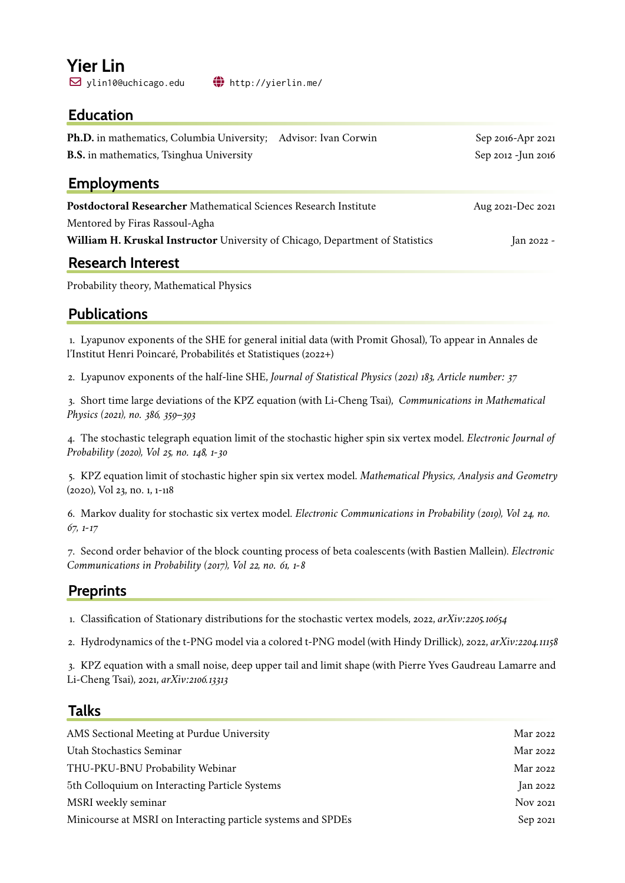# **Yier Lin**

 $\boxdot$  ylin10@uchicago.edu  $\bigoplus$  <http://yierlin.me/>

#### **Education**

| <b>Ph.D.</b> in mathematics, Columbia University;<br>Advisor: Ivan Corwin     | Sep 2016-Apr 2021   |
|-------------------------------------------------------------------------------|---------------------|
| <b>B.S.</b> in mathematics, Tsinghua University                               | Sep 2012 - Jun 2016 |
| <b>Employments</b>                                                            |                     |
| <b>Postdoctoral Researcher</b> Mathematical Sciences Research Institute       | Aug 2021-Dec 2021   |
| Mentored by Firas Rassoul-Agha                                                |                     |
| William H. Kruskal Instructor University of Chicago, Department of Statistics | Jan 2022 -          |
| <b>Research Interest</b>                                                      |                     |
|                                                                               |                     |

Probability theory, Mathematical Physics

#### **Publications**

1. Lyapunov exponents of the SHE for general initial data (with Promit Ghosal), To appear in Annales de l'Institut Henri Poincaré, Probabilités et Statistiques (2022+)

2. Lyapunov exponents of the half-line SHE, *Journal of Statistical Physics (2021) 183, Article number: 37*

3. Short time large deviations of the KPZ equation (with Li-Cheng Tsai), *Communications in Mathematical Physics (2021), no. 386, 359–393*

4. The stochastic telegraph equation limit of the stochastic higher spin six vertex model. *Electronic Journal of Probability (2020), Vol 25, no. 148, 1-30*

5. KPZ equation limit of stochastic higher spin six vertex model. *Mathematical Physics, Analysis and Geometry* (2020), Vol 23, no. 1, 1-118

6. Markov duality for stochastic six vertex model. *Electronic Communications in Probability (2019), Vol 24, no. 67, 1-17*

7. Second order behavior of the block counting process of beta coalescents (with Bastien Mallein). *Electronic Communications in Probability (2017), Vol 22, no. 61, 1-8*

#### **Preprints**

1. Classification of Stationary distributions for the stochastic vertex models, 2022, *arXiv:2205.10654*

2. Hydrodynamics of the t-PNG model via a colored t-PNG model (with Hindy Drillick), 2022, *arXiv:2204.11158*

3. KPZ equation with a small noise, deep upper tail and limit shape (with Pierre Yves Gaudreau Lamarre and Li-Cheng Tsai), 2021, *arXiv:2106.13313*

#### **Talks**

| AMS Sectional Meeting at Purdue University                   | Mar 2022        |
|--------------------------------------------------------------|-----------------|
| Utah Stochastics Seminar                                     | Mar 2022        |
| THU-PKU-BNU Probability Webinar                              | Mar 2022        |
| 5th Colloquium on Interacting Particle Systems               | $\rm{Jan}$ 2022 |
| MSRI weekly seminar                                          | <b>Nov 2021</b> |
| Minicourse at MSRI on Interacting particle systems and SPDEs | Sep 2021        |